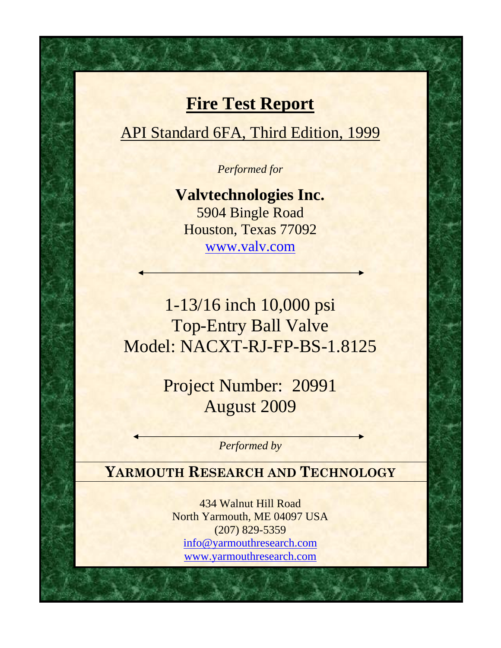# **Fire Test Report**

API Standard 6FA, Third Edition, 1999

*Performed for* 

**Valvtechnologies Inc.**  5904 Bingle Road Houston, Texas 77092 www.valv.com

1-13/16 inch 10,000 psi Top-Entry Ball Valve Model: NACXT-RJ-FP-BS-1.8125

> Project Number: 20991 August 2009

> > *Performed by*

**YARMOUTH RESEARCH AND TECHNOLOGY**

434 Walnut Hill Road North [Yarmouth, ME 04097](mailto:yrtlab@maine.rr.com) USA [\(207\) 829-5359](http://www.yarmouthresearch.com/)  info@yarmouthresearch.com www.yarmouthresearch.com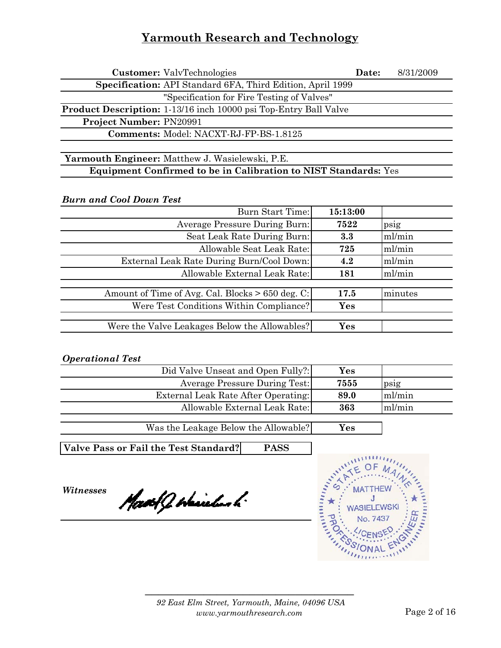| <b>Customer:</b> ValvTechnologies                                       | Date: | 8/31/2009 |
|-------------------------------------------------------------------------|-------|-----------|
| Specification: API Standard 6FA, Third Edition, April 1999              |       |           |
| "Specification for Fire Testing of Valves"                              |       |           |
| <b>Product Description:</b> 1-13/16 inch 10000 psi Top-Entry Ball Valve |       |           |
| <b>Project Number: PN20991</b>                                          |       |           |
| <b>Comments: Model: NACXT-RJ-FP-BS-1.8125</b>                           |       |           |
|                                                                         |       |           |

**Yarmouth Engineer:** Matthew J. Wasielewski, P.E. **Equipment Confirmed to be in Calibration to NIST Standards:** Yes

*Burn and Cool Down Test*

| Burn Start Time:                                 | 15:13:00 |           |
|--------------------------------------------------|----------|-----------|
| <b>Average Pressure During Burn:</b>             | 7522     | $p_{S1}g$ |
| Seat Leak Rate During Burn:                      | 3.3      | ml/min    |
| Allowable Seat Leak Rate:                        | 725      | ml/min    |
| External Leak Rate During Burn/Cool Down:        | 4.2      | ml/min    |
| Allowable External Leak Rate:                    | 181      | ml/min    |
|                                                  |          |           |
| Amount of Time of Avg. Cal. Blocks > 650 deg. C: | 17.5     | minutes   |
| Were Test Conditions Within Compliance?          | Yes      |           |
|                                                  |          |           |
| Were the Valve Leakages Below the Allowables?    | Yes      |           |

#### *Operational Test*

|        | Yes  | Did Valve Unseat and Open Fully?:                    |
|--------|------|------------------------------------------------------|
| psig   | 7555 | <b>Average Pressure During Test:</b>                 |
| ml/min | 89.0 | External Leak Rate After Operating:                  |
| ml/min | 363  | Allowable External Leak Rate:                        |
|        |      |                                                      |
|        | Yes  | Was the Leakage Below the Allowable?                 |
|        |      |                                                      |
|        |      | <b>PASS</b><br>Valve Pass or Fail the Test Standard? |

*Witnesses*

Mast J Haichard

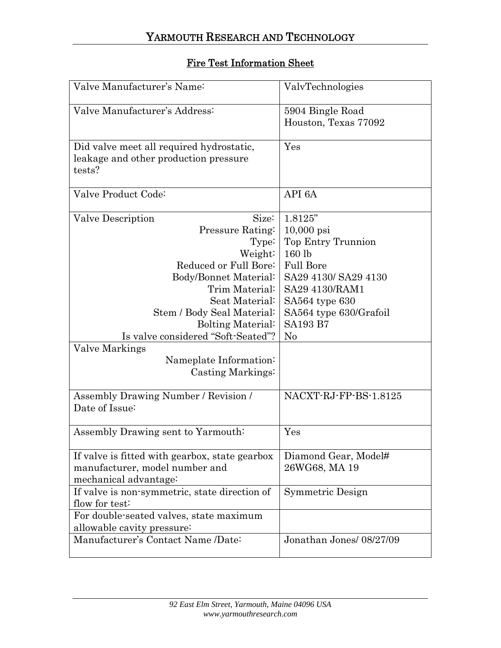### Fire Test Information Sheet

| Valve Manufacturer's Name:                     | ValvTechnologies         |
|------------------------------------------------|--------------------------|
| Valve Manufacturer's Address:                  | 5904 Bingle Road         |
|                                                | Houston, Texas 77092     |
|                                                |                          |
| Did valve meet all required hydrostatic,       | Yes                      |
| leakage and other production pressure          |                          |
| tests?                                         |                          |
|                                                |                          |
| Valve Product Code:                            | API 6A                   |
| Valve Description<br>Size:                     | 1.8125"                  |
| Pressure Rating:                               | $10,000$ psi             |
| Type:                                          | Top Entry Trunnion       |
| Weight:                                        | 160 lb                   |
| Reduced or Full Bore:                          | <b>Full Bore</b>         |
| Body/Bonnet Material:                          | SA29 4130/ SA29 4130     |
| Trim Material:                                 | SA29 4130/RAM1           |
| Seat Material:                                 | SA564 type 630           |
| Stem / Body Seal Material:                     | SA564 type 630/Grafoil   |
| <b>Bolting Material:</b>                       | <b>SA193 B7</b>          |
| Is valve considered "Soft-Seated"?             | $\rm No$                 |
| Valve Markings                                 |                          |
| Nameplate Information:                         |                          |
| Casting Markings:                              |                          |
|                                                |                          |
| Assembly Drawing Number / Revision /           | NACXT-RJ-FP-BS-1.8125    |
| Date of Issue:                                 |                          |
|                                                |                          |
| Assembly Drawing sent to Yarmouth:             | Yes                      |
| If valve is fitted with gearbox, state gearbox | Diamond Gear, Model#     |
| manufacturer, model number and                 | 26WG68, MA 19            |
| mechanical advantage:                          |                          |
| If valve is non-symmetric, state direction of  | Symmetric Design         |
| flow for test:                                 |                          |
| For double-seated valves, state maximum        |                          |
| allowable cavity pressure:                     |                          |
| Manufacturer's Contact Name /Date:             | Jonathan Jones/ 08/27/09 |
|                                                |                          |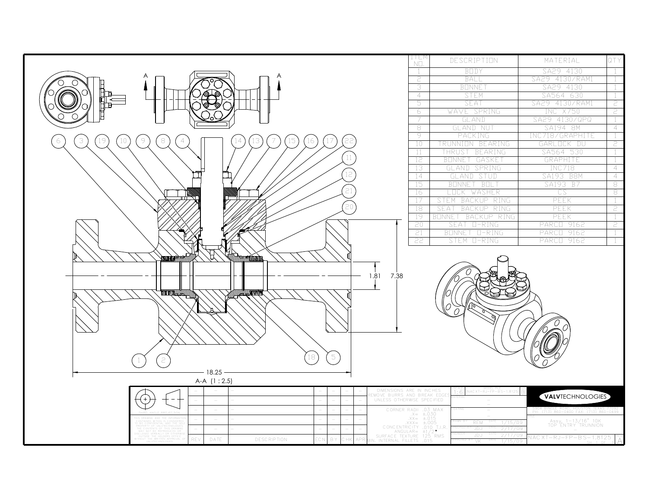|                                                                                                              | 1   E  <br>NO.                                                     | DESCRIPTION                         | MATERIAL                                 |                     |
|--------------------------------------------------------------------------------------------------------------|--------------------------------------------------------------------|-------------------------------------|------------------------------------------|---------------------|
|                                                                                                              |                                                                    | BODY                                | SA29 4130                                |                     |
| A                                                                                                            | 2                                                                  | BALL                                | SA29 4130/RAM1                           |                     |
|                                                                                                              | 3                                                                  | <b>BONNE</b>                        | SA29 4130                                |                     |
|                                                                                                              | $\overline{4}$                                                     | <b>STEM</b>                         | SA564 630                                |                     |
|                                                                                                              | 5.                                                                 | SEAT                                | SA29 4130/RAM1                           | 2                   |
|                                                                                                              | 6                                                                  | WAVE SPRING                         | INC X750                                 | 2                   |
|                                                                                                              | 7                                                                  | GLAND                               | SA29 4130/QPQ                            |                     |
|                                                                                                              | 8                                                                  | GLAND NUT                           | SA194 8M                                 | $\overline{4}$      |
| $\circledcirc$<br>$\,$ $\,$ $\,$<br>19<br>3<br>10<br>22<br>$\overline{4}$<br>13<br>.5<br>16<br>6<br>14<br>17 | 9                                                                  | PACKING                             | INC718/GRAPHITE                          |                     |
|                                                                                                              | 10                                                                 | TRUNNION BEARING                    | GARLOCK DU                               | 2                   |
| $11\,$                                                                                                       | 11                                                                 | THRUST BEARING                      | SA564 530                                |                     |
|                                                                                                              | 12                                                                 | BONNET GASKET                       | GRAPHITE                                 |                     |
| 12                                                                                                           | 13                                                                 | GLAND SPRING                        | <b>INC718</b>                            | $\overline{4}$      |
|                                                                                                              | 14<br>15                                                           | GLAND STUD<br>BOLT<br><b>BENNET</b> | SA193 B8M<br>SA193 B7                    | $\overline{4}$<br>8 |
| $\overline{c}$ 1                                                                                             | 16                                                                 |                                     | CS                                       | 8                   |
|                                                                                                              | 17                                                                 | LOCK WASHER<br>STEM BACKUP RING     | PEEK                                     | -1                  |
| 20                                                                                                           | 18                                                                 | SEAT<br><b>BACKUP</b><br>RING       | PEEK                                     | 2                   |
|                                                                                                              | 19                                                                 | BONNET<br>BACKUP RING               | PEEK                                     | -1                  |
|                                                                                                              | 20                                                                 | SEAT<br>$L-RING$                    | PARCI 9162                               | 2                   |
|                                                                                                              | 21                                                                 | BONNET O-RING                       | 9162<br>PARCO                            | -1                  |
|                                                                                                              | 22                                                                 | STEM O-RING                         | PARCE 9162                               |                     |
|                                                                                                              |                                                                    |                                     |                                          |                     |
| <b>SUTTITI RETURN TO BE THE</b><br><b>EXAMPLIQUARTER TITTI</b> U                                             |                                                                    |                                     |                                          |                     |
|                                                                                                              |                                                                    |                                     |                                          |                     |
| 1.81 7.38                                                                                                    |                                                                    |                                     |                                          |                     |
|                                                                                                              |                                                                    |                                     |                                          |                     |
| <b>ALLE DESCRIPTION</b><br><b>THE REAL AND REAL PROPERTY</b>                                                 |                                                                    |                                     |                                          |                     |
|                                                                                                              |                                                                    |                                     |                                          |                     |
|                                                                                                              |                                                                    |                                     |                                          |                     |
|                                                                                                              |                                                                    |                                     |                                          |                     |
|                                                                                                              |                                                                    |                                     |                                          |                     |
|                                                                                                              |                                                                    |                                     |                                          |                     |
|                                                                                                              |                                                                    |                                     |                                          |                     |
|                                                                                                              |                                                                    |                                     |                                          |                     |
| $\mathbb S$<br>18<br>2                                                                                       |                                                                    |                                     |                                          |                     |
| 18.25                                                                                                        |                                                                    |                                     |                                          |                     |
| A-A (1:2.5)                                                                                                  |                                                                    |                                     |                                          |                     |
| DIMENSIONS ARE IN INCHES<br>EMOVE BURRS AND BREAK EDO                                                        |                                                                    | (AC XT-RJ-FP-B S-1.8125             |                                          |                     |
| UNLESS OTHERWISE SPECIFIED<br>$\overline{\phantom{a}}$                                                       |                                                                    |                                     | <b>VALVTECHNOLOGIES</b>                  |                     |
| $\overline{\phantom{a}}$                                                                                     |                                                                    |                                     | PH: (713) 860-0400 FAX: (713) 860-0499   |                     |
|                                                                                                              | CORNER RADII .03 MAX<br>$X = \pm 030$<br>$\overline{X}X = \pm 015$ |                                     |                                          |                     |
|                                                                                                              |                                                                    | <b>REM</b><br>1/15/09               | Assy, 1-13/16" 10K<br>TOP ENTRY TRUNNION |                     |
| AAA - 1005<br>CONCENTRICITY .010 T.I.R.<br>ANGULAR= ±1/2<br>ANGULAR= 125 RMS<br>SURFACE TEXTURE 125 RMS      |                                                                    | JD J<br>2/17/09<br>JDJ<br>2/17/09   | VAC XT-RJ-FP-BS-1.8125                   |                     |
| <b>DESCRIPTION</b><br>REV<br>DATE<br>R Y<br>O.<br>' H k                                                      |                                                                    |                                     |                                          |                     |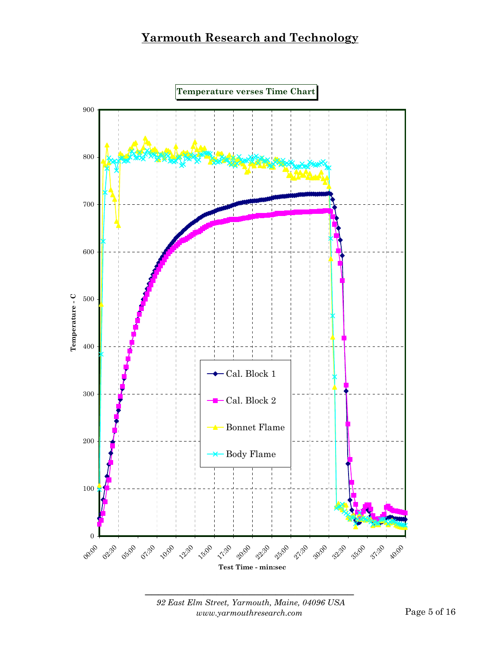

 *92 East Elm Street, Yarmouth, Maine, 04096 USA www.yarmouthresearch.com* Page 5 of 16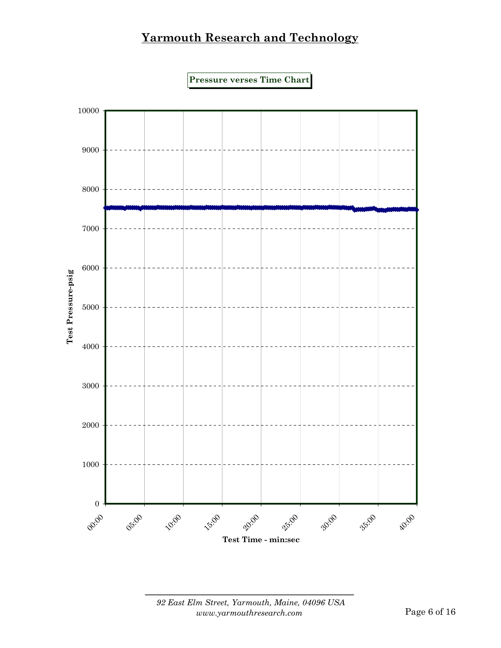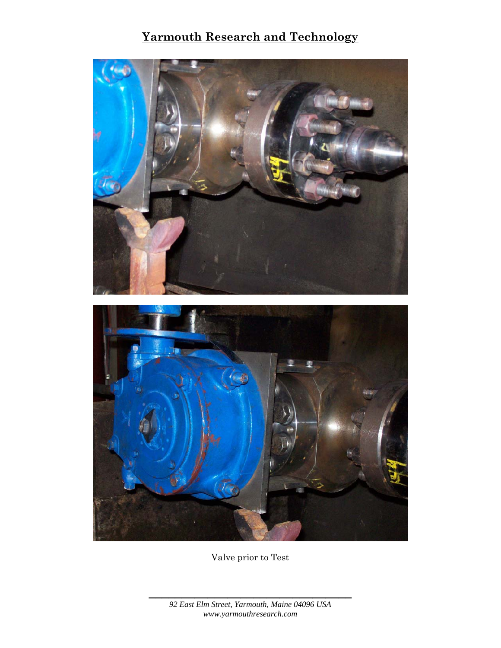

Valve prior to Test

*92 East Elm Street, Yarmouth, Maine 04096 USA www.yarmouthresearch.com*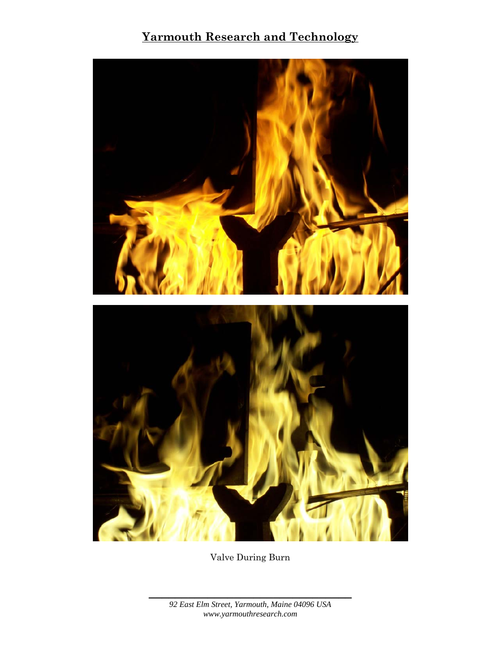

Valve During Burn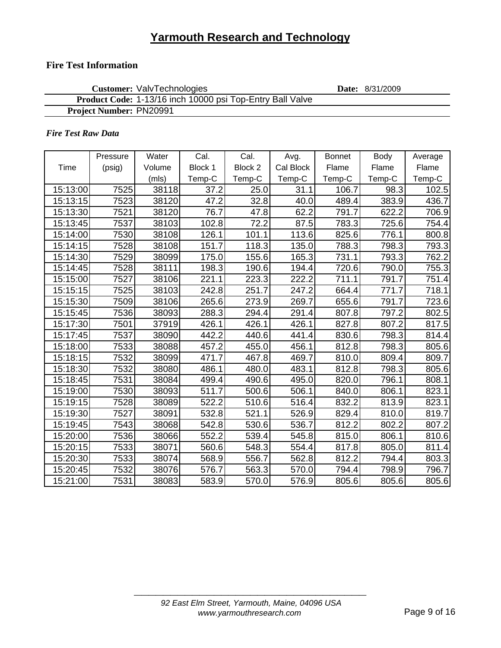### **Fire Test Information**

| <b>Customer: ValvTechnologies</b>                         | <b>Date:</b> 8/31/2009 |
|-----------------------------------------------------------|------------------------|
| Product Code: 1-13/16 inch 10000 psi Top-Entry Ball Valve |                        |
| <b>Project Number: PN20991</b>                            |                        |

#### *Fire Test Raw Data*

|          | Pressure | Water  | Cal.    | Cal.    | Avg.             | <b>Bonnet</b> | Body   | Average |
|----------|----------|--------|---------|---------|------------------|---------------|--------|---------|
| Time     | (psig)   | Volume | Block 1 | Block 2 | <b>Cal Block</b> | Flame         | Flame  | Flame   |
|          |          | (mls)  | Temp-C  | Temp-C  | Temp-C           | Temp-C        | Temp-C | Temp-C  |
| 15:13:00 | 7525     | 38118  | 37.2    | 25.0    | 31.1             | 106.7         | 98.3   | 102.5   |
| 15:13:15 | 7523     | 38120  | 47.2    | 32.8    | 40.0             | 489.4         | 383.9  | 436.7   |
| 15:13:30 | 7521     | 38120  | 76.7    | 47.8    | 62.2             | 791.7         | 622.2  | 706.9   |
| 15:13:45 | 7537     | 38103  | 102.8   | 72.2    | 87.5             | 783.3         | 725.6  | 754.4   |
| 15:14:00 | 7530     | 38108  | 126.1   | 101.1   | 113.6            | 825.6         | 776.1  | 800.8   |
| 15:14:15 | 7528     | 38108  | 151.7   | 118.3   | 135.0            | 788.3         | 798.3  | 793.3   |
| 15:14:30 | 7529     | 38099  | 175.0   | 155.6   | 165.3            | 731.1         | 793.3  | 762.2   |
| 15:14:45 | 7528     | 38111  | 198.3   | 190.6   | 194.4            | 720.6         | 790.0  | 755.3   |
| 15:15:00 | 7527     | 38106  | 221.1   | 223.3   | 222.2            | 711.1         | 791.7  | 751.4   |
| 15:15:15 | 7525     | 38103  | 242.8   | 251.7   | 247.2            | 664.4         | 771.7  | 718.1   |
| 15:15:30 | 7509     | 38106  | 265.6   | 273.9   | 269.7            | 655.6         | 791.7  | 723.6   |
| 15:15:45 | 7536     | 38093  | 288.3   | 294.4   | 291.4            | 807.8         | 797.2  | 802.5   |
| 15:17:30 | 7501     | 37919  | 426.1   | 426.1   | 426.1            | 827.8         | 807.2  | 817.5   |
| 15:17:45 | 7537     | 38090  | 442.2   | 440.6   | 441.4            | 830.6         | 798.3  | 814.4   |
| 15:18:00 | 7533     | 38088  | 457.2   | 455.0   | 456.1            | 812.8         | 798.3  | 805.6   |
| 15:18:15 | 7532     | 38099  | 471.7   | 467.8   | 469.7            | 810.0         | 809.4  | 809.7   |
| 15:18:30 | 7532     | 38080  | 486.1   | 480.0   | 483.1            | 812.8         | 798.3  | 805.6   |
| 15:18:45 | 7531     | 38084  | 499.4   | 490.6   | 495.0            | 820.0         | 796.1  | 808.1   |
| 15:19:00 | 7530     | 38093  | 511.7   | 500.6   | 506.1            | 840.0         | 806.1  | 823.1   |
| 15:19:15 | 7528     | 38089  | 522.2   | 510.6   | 516.4            | 832.2         | 813.9  | 823.1   |
| 15:19:30 | 7527     | 38091  | 532.8   | 521.1   | 526.9            | 829.4         | 810.0  | 819.7   |
| 15:19:45 | 7543     | 38068  | 542.8   | 530.6   | 536.7            | 812.2         | 802.2  | 807.2   |
| 15:20:00 | 7536     | 38066  | 552.2   | 539.4   | 545.8            | 815.0         | 806.1  | 810.6   |
| 15:20:15 | 7533     | 38071  | 560.6   | 548.3   | 554.4            | 817.8         | 805.0  | 811.4   |
| 15:20:30 | 7533     | 38074  | 568.9   | 556.7   | 562.8            | 812.2         | 794.4  | 803.3   |
| 15:20:45 | 7532     | 38076  | 576.7   | 563.3   | 570.0            | 794.4         | 798.9  | 796.7   |
| 15:21:00 | 7531     | 38083  | 583.9   | 570.0   | 576.9            | 805.6         | 805.6  | 805.6   |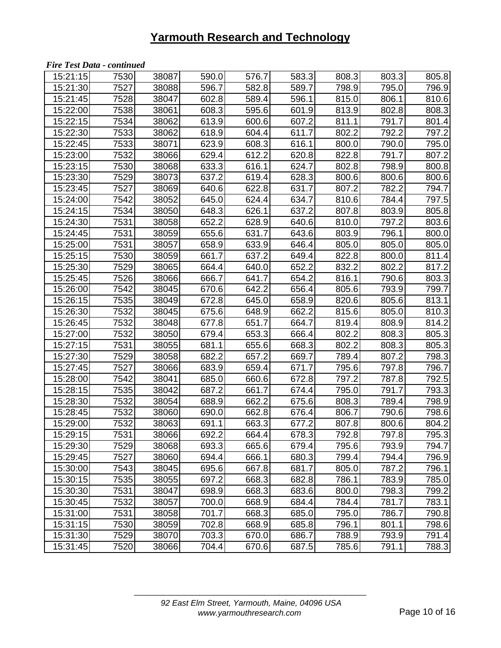#### *Fire Test Data - continued*

| 15:21:15 | 7530 | 38087 | 590.0 | 576.7 | 583.3 | 808.3 | 803.3 | 805.8 |
|----------|------|-------|-------|-------|-------|-------|-------|-------|
| 15:21:30 | 7527 | 38088 | 596.7 | 582.8 | 589.7 | 798.9 | 795.0 | 796.9 |
| 15:21:45 | 7528 | 38047 | 602.8 | 589.4 | 596.1 | 815.0 | 806.1 | 810.6 |
| 15:22:00 | 7538 | 38061 | 608.3 | 595.6 | 601.9 | 813.9 | 802.8 | 808.3 |
| 15:22:15 | 7534 | 38062 | 613.9 | 600.6 | 607.2 | 811.1 | 791.7 | 801.4 |
| 15:22:30 | 7533 | 38062 | 618.9 | 604.4 | 611.7 | 802.2 | 792.2 | 797.2 |
| 15:22:45 | 7533 | 38071 | 623.9 | 608.3 | 616.1 | 800.0 | 790.0 | 795.0 |
| 15:23:00 | 7532 | 38066 | 629.4 | 612.2 | 620.8 | 822.8 | 791.7 | 807.2 |
| 15:23:15 | 7530 | 38068 | 633.3 | 616.1 | 624.7 | 802.8 | 798.9 | 800.8 |
| 15:23:30 | 7529 | 38073 | 637.2 | 619.4 | 628.3 | 800.6 | 800.6 | 800.6 |
| 15:23:45 | 7527 | 38069 | 640.6 | 622.8 | 631.7 | 807.2 | 782.2 | 794.7 |
| 15:24:00 | 7542 | 38052 | 645.0 | 624.4 | 634.7 | 810.6 | 784.4 | 797.5 |
| 15:24:15 | 7534 | 38050 | 648.3 | 626.1 | 637.2 | 807.8 | 803.9 | 805.8 |
| 15:24:30 | 7531 | 38058 | 652.2 | 628.9 | 640.6 | 810.0 | 797.2 | 803.6 |
| 15:24:45 | 7531 | 38059 | 655.6 | 631.7 | 643.6 | 803.9 | 796.1 | 800.0 |
| 15:25:00 | 7531 | 38057 | 658.9 | 633.9 | 646.4 | 805.0 | 805.0 | 805.0 |
| 15:25:15 | 7530 | 38059 | 661.7 | 637.2 | 649.4 | 822.8 | 800.0 | 811.4 |
| 15:25:30 | 7529 | 38065 | 664.4 | 640.0 | 652.2 | 832.2 | 802.2 | 817.2 |
| 15:25:45 | 7526 | 38066 | 666.7 | 641.7 | 654.2 | 816.1 | 790.6 | 803.3 |
| 15:26:00 | 7542 | 38045 | 670.6 | 642.2 | 656.4 | 805.6 | 793.9 | 799.7 |
| 15:26:15 | 7535 | 38049 | 672.8 | 645.0 | 658.9 | 820.6 | 805.6 | 813.1 |
| 15:26:30 | 7532 | 38045 | 675.6 | 648.9 | 662.2 | 815.6 | 805.0 | 810.3 |
| 15:26:45 | 7532 | 38048 | 677.8 | 651.7 | 664.7 | 819.4 | 808.9 | 814.2 |
| 15:27:00 | 7532 | 38050 | 679.4 | 653.3 | 666.4 | 802.2 | 808.3 | 805.3 |
| 15:27:15 | 7531 | 38055 | 681.1 | 655.6 | 668.3 | 802.2 | 808.3 | 805.3 |
| 15:27:30 | 7529 | 38058 | 682.2 | 657.2 | 669.7 | 789.4 | 807.2 | 798.3 |
| 15:27:45 | 7527 | 38066 | 683.9 | 659.4 | 671.7 | 795.6 | 797.8 | 796.7 |
| 15:28:00 | 7542 | 38041 | 685.0 | 660.6 | 672.8 | 797.2 | 787.8 | 792.5 |
| 15:28:15 | 7535 | 38042 | 687.2 | 661.7 | 674.4 | 795.0 | 791.7 | 793.3 |
| 15:28:30 | 7532 | 38054 | 688.9 | 662.2 | 675.6 | 808.3 | 789.4 | 798.9 |
| 15:28:45 | 7532 | 38060 | 690.0 | 662.8 | 676.4 | 806.7 | 790.6 | 798.6 |
| 15:29:00 | 7532 | 38063 | 691.1 | 663.3 | 677.2 | 807.8 | 800.6 | 804.2 |
| 15:29:15 | 7531 | 38066 | 692.2 | 664.4 | 678.3 | 792.8 | 797.8 | 795.3 |
| 15:29:30 | 7529 | 38068 | 693.3 | 665.6 | 679.4 | 795.6 | 793.9 | 794.7 |
| 15:29:45 | 7527 | 38060 | 694.4 | 666.1 | 680.3 | 799.4 | 794.4 | 796.9 |
| 15:30:00 | 7543 | 38045 | 695.6 | 667.8 | 681.7 | 805.0 | 787.2 | 796.1 |
| 15:30:15 | 7535 | 38055 | 697.2 | 668.3 | 682.8 | 786.1 | 783.9 | 785.0 |
| 15:30:30 | 7531 | 38047 | 698.9 | 668.3 | 683.6 | 800.0 | 798.3 | 799.2 |
| 15:30:45 | 7532 | 38057 | 700.0 | 668.9 | 684.4 | 784.4 | 781.7 | 783.1 |
| 15:31:00 | 7531 | 38058 | 701.7 | 668.3 | 685.0 | 795.0 | 786.7 | 790.8 |
| 15:31:15 | 7530 | 38059 | 702.8 | 668.9 | 685.8 | 796.1 | 801.1 | 798.6 |
| 15:31:30 | 7529 | 38070 | 703.3 | 670.0 | 686.7 | 788.9 | 793.9 | 791.4 |
| 15:31:45 | 7520 | 38066 | 704.4 | 670.6 | 687.5 | 785.6 | 791.1 | 788.3 |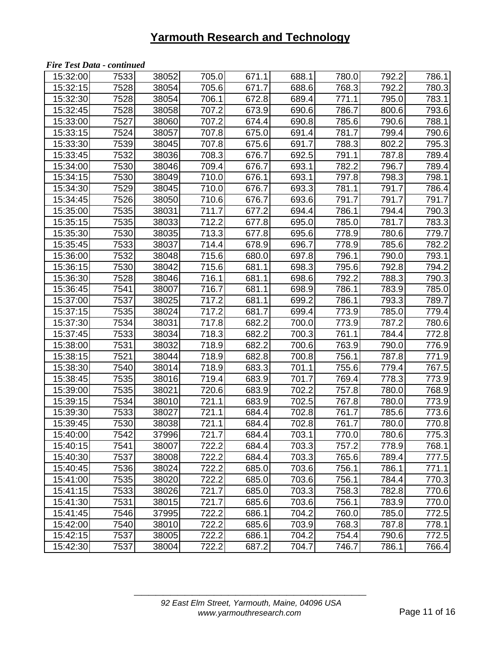#### *Fire Test Data - continued*

| 15:32:00 | 7533 | 38052 | 705.0 | 671.1 | 688.1 | 780.0 | 792.2 | 786.1 |
|----------|------|-------|-------|-------|-------|-------|-------|-------|
| 15:32:15 | 7528 | 38054 | 705.6 | 671.7 | 688.6 | 768.3 | 792.2 | 780.3 |
| 15:32:30 | 7528 | 38054 | 706.1 | 672.8 | 689.4 | 771.1 | 795.0 | 783.1 |
| 15:32:45 | 7528 | 38058 | 707.2 | 673.9 | 690.6 | 786.7 | 800.6 | 793.6 |
| 15:33:00 | 7527 | 38060 | 707.2 | 674.4 | 690.8 | 785.6 | 790.6 | 788.1 |
| 15:33:15 | 7524 | 38057 | 707.8 | 675.0 | 691.4 | 781.7 | 799.4 | 790.6 |
| 15:33:30 | 7539 | 38045 | 707.8 | 675.6 | 691.7 | 788.3 | 802.2 | 795.3 |
| 15:33:45 | 7532 | 38036 | 708.3 | 676.7 | 692.5 | 791.1 | 787.8 | 789.4 |
| 15:34:00 | 7530 | 38046 | 709.4 | 676.7 | 693.1 | 782.2 | 796.7 | 789.4 |
| 15:34:15 | 7530 | 38049 | 710.0 | 676.1 | 693.1 | 797.8 | 798.3 | 798.1 |
| 15:34:30 | 7529 | 38045 | 710.0 | 676.7 | 693.3 | 781.1 | 791.7 | 786.4 |
| 15:34:45 | 7526 | 38050 | 710.6 | 676.7 | 693.6 | 791.7 | 791.7 | 791.7 |
| 15:35:00 | 7535 | 38031 | 711.7 | 677.2 | 694.4 | 786.1 | 794.4 | 790.3 |
| 15:35:15 | 7535 | 38033 | 712.2 | 677.8 | 695.0 | 785.0 | 781.7 | 783.3 |
| 15:35:30 | 7530 | 38035 | 713.3 | 677.8 | 695.6 | 778.9 | 780.6 | 779.7 |
| 15:35:45 | 7533 | 38037 | 714.4 | 678.9 | 696.7 | 778.9 | 785.6 | 782.2 |
| 15:36:00 | 7532 | 38048 | 715.6 | 680.0 | 697.8 | 796.1 | 790.0 | 793.1 |
| 15:36:15 | 7530 | 38042 | 715.6 | 681.1 | 698.3 | 795.6 | 792.8 | 794.2 |
| 15:36:30 | 7528 | 38046 | 716.1 | 681.1 | 698.6 | 792.2 | 788.3 | 790.3 |
| 15:36:45 | 7541 | 38007 | 716.7 | 681.1 | 698.9 | 786.1 | 783.9 | 785.0 |
| 15:37:00 | 7537 | 38025 | 717.2 | 681.1 | 699.2 | 786.1 | 793.3 | 789.7 |
| 15:37:15 | 7535 | 38024 | 717.2 | 681.7 | 699.4 | 773.9 | 785.0 | 779.4 |
| 15:37:30 | 7534 | 38031 | 717.8 | 682.2 | 700.0 | 773.9 | 787.2 | 780.6 |
| 15:37:45 | 7533 | 38034 | 718.3 | 682.2 | 700.3 | 761.1 | 784.4 | 772.8 |
| 15:38:00 | 7531 | 38032 | 718.9 | 682.2 | 700.6 | 763.9 | 790.0 | 776.9 |
| 15:38:15 | 7521 | 38044 | 718.9 | 682.8 | 700.8 | 756.1 | 787.8 | 771.9 |
| 15:38:30 | 7540 | 38014 | 718.9 | 683.3 | 701.1 | 755.6 | 779.4 | 767.5 |
| 15:38:45 | 7535 | 38016 | 719.4 | 683.9 | 701.7 | 769.4 | 778.3 | 773.9 |
| 15:39:00 | 7535 | 38021 | 720.6 | 683.9 | 702.2 | 757.8 | 780.0 | 768.9 |
| 15:39:15 | 7534 | 38010 | 721.1 | 683.9 | 702.5 | 767.8 | 780.0 | 773.9 |
| 15:39:30 | 7533 | 38027 | 721.1 | 684.4 | 702.8 | 761.7 | 785.6 | 773.6 |
| 15:39:45 | 7530 | 38038 | 721.1 | 684.4 | 702.8 | 761.7 | 780.0 | 770.8 |
| 15:40:00 | 7542 | 37996 | 721.7 | 684.4 | 703.1 | 770.0 | 780.6 | 775.3 |
| 15:40:15 | 7541 | 38007 | 722.2 | 684.4 | 703.3 | 757.2 | 778.9 | 768.1 |
| 15:40:30 | 7537 | 38008 | 722.2 | 684.4 | 703.3 | 765.6 | 789.4 | 777.5 |
| 15:40:45 | 7536 | 38024 | 722.2 | 685.0 | 703.6 | 756.1 | 786.1 | 771.1 |
| 15:41:00 | 7535 | 38020 | 722.2 | 685.0 | 703.6 | 756.1 | 784.4 | 770.3 |
| 15:41:15 | 7533 | 38026 | 721.7 | 685.0 | 703.3 | 758.3 | 782.8 | 770.6 |
| 15:41:30 | 7531 | 38015 | 721.7 | 685.6 | 703.6 | 756.1 | 783.9 | 770.0 |
| 15:41:45 | 7546 | 37995 | 722.2 | 686.1 | 704.2 | 760.0 | 785.0 | 772.5 |
| 15:42:00 | 7540 | 38010 | 722.2 | 685.6 | 703.9 | 768.3 | 787.8 | 778.1 |
| 15:42:15 | 7537 | 38005 | 722.2 | 686.1 | 704.2 | 754.4 | 790.6 | 772.5 |
| 15:42:30 | 7537 | 38004 | 722.2 | 687.2 | 704.7 | 746.7 | 786.1 | 766.4 |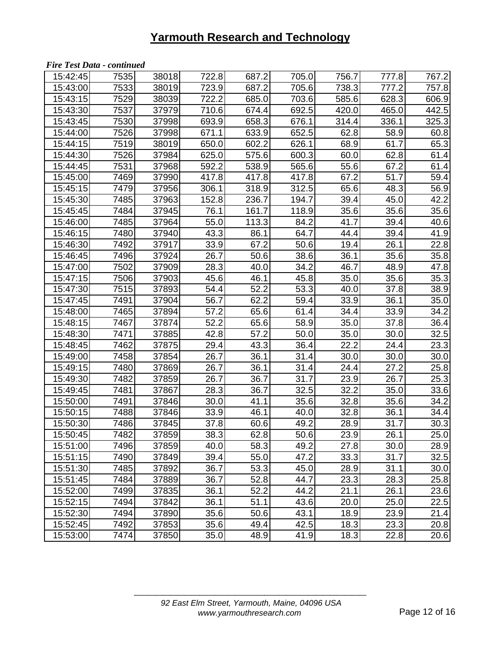#### *Fire Test Data - continued*

| 15:42:45 | 7535 | 38018 | 722.8 | 687.2             | 705.0 | 756.7 | 777.8 | 767.2 |
|----------|------|-------|-------|-------------------|-------|-------|-------|-------|
| 15:43:00 | 7533 | 38019 | 723.9 | 687.2             | 705.6 | 738.3 | 777.2 | 757.8 |
| 15:43:15 | 7529 | 38039 | 722.2 | 685.0             | 703.6 | 585.6 | 628.3 | 606.9 |
| 15:43:30 | 7537 | 37979 | 710.6 | 674.4             | 692.5 | 420.0 | 465.0 | 442.5 |
| 15:43:45 | 7530 | 37998 | 693.9 | 658.3             | 676.1 | 314.4 | 336.1 | 325.3 |
| 15:44:00 | 7526 | 37998 | 671.1 | 633.9             | 652.5 | 62.8  | 58.9  | 60.8  |
| 15:44:15 | 7519 | 38019 | 650.0 | 602.2             | 626.1 | 68.9  | 61.7  | 65.3  |
| 15:44:30 | 7526 | 37984 | 625.0 | 575.6             | 600.3 | 60.0  | 62.8  | 61.4  |
| 15:44:45 | 7531 | 37968 | 592.2 | 538.9             | 565.6 | 55.6  | 67.2  | 61.4  |
| 15:45:00 | 7469 | 37990 | 417.8 | 417.8             | 417.8 | 67.2  | 51.7  | 59.4  |
| 15:45:15 | 7479 | 37956 | 306.1 | 318.9             | 312.5 | 65.6  | 48.3  | 56.9  |
| 15:45:30 | 7485 | 37963 | 152.8 | 236.7             | 194.7 | 39.4  | 45.0  | 42.2  |
| 15:45:45 | 7484 | 37945 | 76.1  | 161.7             | 118.9 | 35.6  | 35.6  | 35.6  |
| 15:46:00 | 7485 | 37964 | 55.0  | 113.3             | 84.2  | 41.7  | 39.4  | 40.6  |
| 15:46:15 | 7480 | 37940 | 43.3  | 86.1              | 64.7  | 44.4  | 39.4  | 41.9  |
| 15:46:30 | 7492 | 37917 | 33.9  | 67.2              | 50.6  | 19.4  | 26.1  | 22.8  |
| 15:46:45 | 7496 | 37924 | 26.7  | 50.6              | 38.6  | 36.1  | 35.6  | 35.8  |
| 15:47:00 | 7502 | 37909 | 28.3  | 40.0              | 34.2  | 46.7  | 48.9  | 47.8  |
| 15:47:15 | 7506 | 37903 | 45.6  | 46.1              | 45.8  | 35.0  | 35.6  | 35.3  |
| 15:47:30 | 7515 | 37893 | 54.4  | 52.2              | 53.3  | 40.0  | 37.8  | 38.9  |
| 15:47:45 | 7491 | 37904 | 56.7  | 62.2              | 59.4  | 33.9  | 36.1  | 35.0  |
| 15:48:00 | 7465 | 37894 | 57.2  | 65.6              | 61.4  | 34.4  | 33.9  | 34.2  |
| 15:48:15 | 7467 | 37874 | 52.2  | 65.6              | 58.9  | 35.0  | 37.8  | 36.4  |
| 15:48:30 | 7471 | 37885 | 42.8  | $\overline{57.2}$ | 50.0  | 35.0  | 30.0  | 32.5  |
| 15:48:45 | 7462 | 37875 | 29.4  | 43.3              | 36.4  | 22.2  | 24.4  | 23.3  |
| 15:49:00 | 7458 | 37854 | 26.7  | 36.1              | 31.4  | 30.0  | 30.0  | 30.0  |
| 15:49:15 | 7480 | 37869 | 26.7  | 36.1              | 31.4  | 24.4  | 27.2  | 25.8  |
| 15:49:30 | 7482 | 37859 | 26.7  | 36.7              | 31.7  | 23.9  | 26.7  | 25.3  |
| 15:49:45 | 7481 | 37867 | 28.3  | 36.7              | 32.5  | 32.2  | 35.0  | 33.6  |
| 15:50:00 | 7491 | 37846 | 30.0  | 41.1              | 35.6  | 32.8  | 35.6  | 34.2  |
| 15:50:15 | 7488 | 37846 | 33.9  | 46.1              | 40.0  | 32.8  | 36.1  | 34.4  |
| 15:50:30 | 7486 | 37845 | 37.8  | 60.6              | 49.2  | 28.9  | 31.7  | 30.3  |
| 15:50:45 | 7482 | 37859 | 38.3  | 62.8              | 50.6  | 23.9  | 26.1  | 25.0  |
| 15:51:00 | 7496 | 37859 | 40.0  | 58.3              | 49.2  | 27.8  | 30.0  | 28.9  |
| 15:51:15 | 7490 | 37849 | 39.4  | 55.0              | 47.2  | 33.3  | 31.7  | 32.5  |
| 15:51:30 | 7485 | 37892 | 36.7  | 53.3              | 45.0  | 28.9  | 31.1  | 30.0  |
| 15:51:45 | 7484 | 37889 | 36.7  | 52.8              | 44.7  | 23.3  | 28.3  | 25.8  |
| 15:52:00 | 7499 | 37835 | 36.1  | 52.2              | 44.2  | 21.1  | 26.1  | 23.6  |
| 15:52:15 | 7494 | 37842 | 36.1  | 51.1              | 43.6  | 20.0  | 25.0  | 22.5  |
| 15:52:30 | 7494 | 37890 | 35.6  | 50.6              | 43.1  | 18.9  | 23.9  | 21.4  |
| 15:52:45 | 7492 | 37853 | 35.6  | 49.4              | 42.5  | 18.3  | 23.3  | 20.8  |
| 15:53:00 | 7474 | 37850 | 35.0  | 48.9              | 41.9  | 18.3  | 22.8  | 20.6  |
|          |      |       |       |                   |       |       |       |       |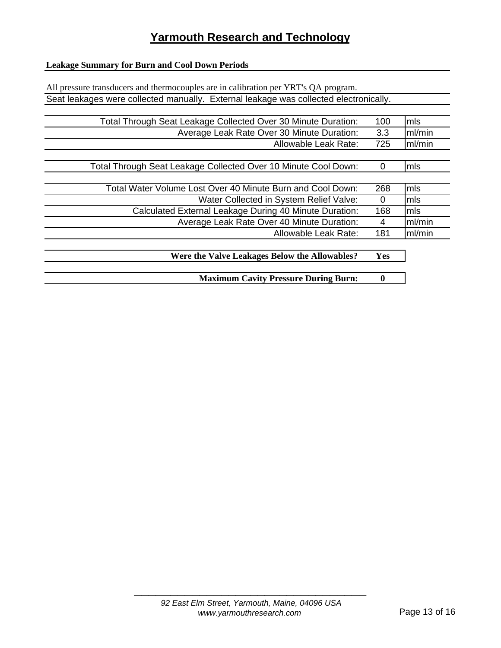#### **Leakage Summary for Burn and Cool Down Periods**

| All pressure transducers and thermocouples are in calibration per YRT's QA program.   |          |        |
|---------------------------------------------------------------------------------------|----------|--------|
| Seat leakages were collected manually. External leakage was collected electronically. |          |        |
|                                                                                       |          |        |
| Total Through Seat Leakage Collected Over 30 Minute Duration:                         | 100      | mls    |
| Average Leak Rate Over 30 Minute Duration:                                            | 3.3      | ml/min |
| Allowable Leak Rate:                                                                  | 725      | ml/min |
|                                                                                       |          |        |
| Total Through Seat Leakage Collected Over 10 Minute Cool Down:                        | 0        | lmls   |
|                                                                                       |          |        |
| Total Water Volume Lost Over 40 Minute Burn and Cool Down:                            | 268      | mls    |
| Water Collected in System Relief Valve:                                               | $\Omega$ | mls    |
| Calculated External Leakage During 40 Minute Duration:                                | 168      | mls    |
| Average Leak Rate Over 40 Minute Duration:                                            | 4        | ml/min |
| Allowable Leak Rate:                                                                  | 181      | ml/min |
|                                                                                       |          |        |
| Were the Valve Leakages Below the Allowables?                                         | Yes      |        |
|                                                                                       |          |        |

**Maximum Cavity Pressure During Burn:** 0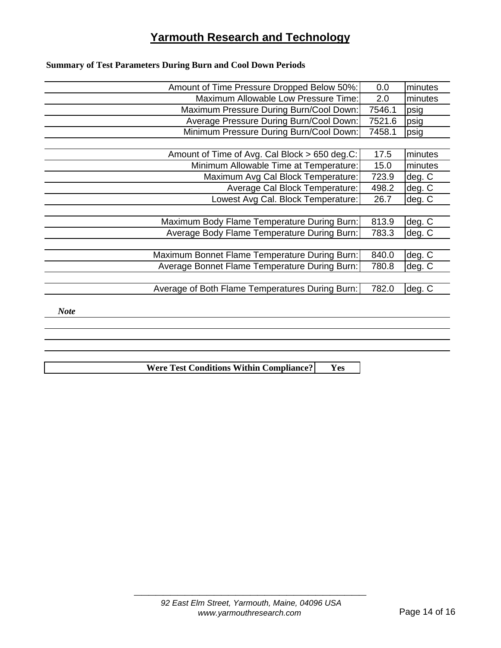### **Summary of Test Parameters During Burn and Cool Down Periods**

|             | Amount of Time Pressure Dropped Below 50%:      | 0.0    | minutes |
|-------------|-------------------------------------------------|--------|---------|
|             | Maximum Allowable Low Pressure Time:            | 2.0    | minutes |
|             | Maximum Pressure During Burn/Cool Down:         | 7546.1 | psig    |
|             | Average Pressure During Burn/Cool Down:         | 7521.6 | psig    |
|             | Minimum Pressure During Burn/Cool Down:         | 7458.1 | psig    |
|             |                                                 |        |         |
|             | Amount of Time of Avg. Cal Block > 650 deg.C:   | 17.5   | minutes |
|             | Minimum Allowable Time at Temperature:          | 15.0   | minutes |
|             | Maximum Avg Cal Block Temperature:              | 723.9  | deg. C  |
|             | Average Cal Block Temperature:                  | 498.2  | deg. C  |
|             | Lowest Avg Cal. Block Temperature:              | 26.7   | deg. C  |
|             |                                                 |        |         |
|             | Maximum Body Flame Temperature During Burn:     | 813.9  | deg. C  |
|             | Average Body Flame Temperature During Burn:     | 783.3  | deg. C  |
|             |                                                 |        |         |
|             | Maximum Bonnet Flame Temperature During Burn:   | 840.0  | deg. C  |
|             | Average Bonnet Flame Temperature During Burn:   | 780.8  | deg. C  |
|             |                                                 |        |         |
|             | Average of Both Flame Temperatures During Burn: | 782.0  | deg. C  |
|             |                                                 |        |         |
| <b>Note</b> |                                                 |        |         |
|             |                                                 |        |         |
|             |                                                 |        |         |
|             |                                                 |        |         |

**Were Test Conditions Within Compliance? Yes**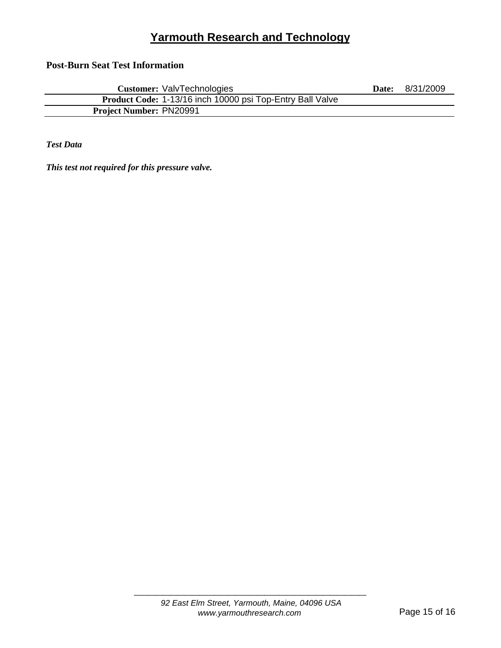**Post-Burn Seat Test Information**

| <b>Customer: ValvTechnologies</b>                         | Date: | 8/31/2009 |
|-----------------------------------------------------------|-------|-----------|
| Product Code: 1-13/16 inch 10000 psi Top-Entry Ball Valve |       |           |
| <b>Project Number: PN20991</b>                            |       |           |

*Test Data*

*This test not required for this pressure valve.*